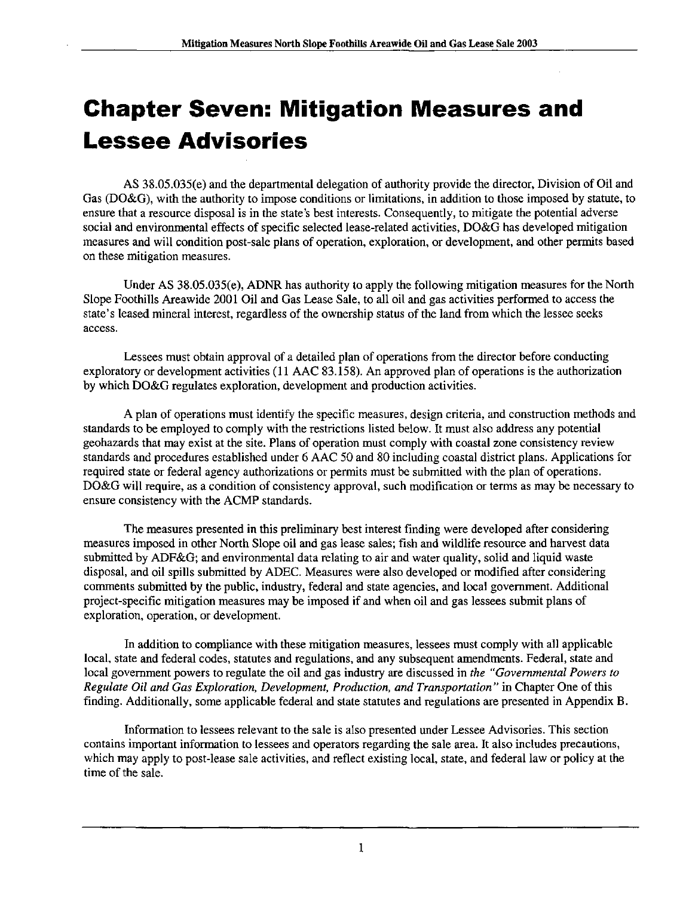# **Chapter Seven: Mitigation Measures and** Lessee Advisories

AS 38.05.035(e) and the departmental delegation of authority provide the director, Division of Oil and Gas (DO&G), with the authority to impose conditions or limitations, in addition to those imposed by statute, to ensure that a resource disposal is in the state's best interests. Consequently, to mitigate the potential adverse social and environmental effects of specific selected lease-related activities, DO&G has developed mitigation measures and will condition post-sale plans of operation, exploration, or development, and other permits based on these mitigation measures.

Under AS 38.05.035(e), ADNR has authority to apply the following mitigation measures for the North Slope Foothills Areawide 2001 Oil and Gas Lease Sale, to all oil and gas activities performed to access the state's leased mineral interest, regardless of the ownership status of the land from which the lessee seeks access.

Lessees must obtain approval of a detailed plan of operations from the director before conducting exploratory or development activities (11 AAC 83.158). An approved plan of operations is the authorization by which DO&G regulates exploration, development and production activities.

A plan of operations must identify the specific measures, design criteria, and construction methods and standards to be employed to comply with the restrictions listed below. It must also address any potential geohazards that may exist at the site. Plans of operation must comply with coastal zone consistency review standards and procedures established under 6 AAC 50 and 80 including coastal district plans. Applications for required state or federal agency authorizations or permits must be submitted with the plan of operations. DO&G will require, as a condition of consistency approval, such modification or terms as may be necessary to ensure consistency with the ACMP standards.

The measures presented in this preliminary best interest finding were developed after considering measures imposed in other North Slope oil and gas lease sales; fish and wildlife resource and harvest data submitted by ADF&G; and environmental data relating to air and water quality, solid and liquid waste disposal, and oil spills submitted by ADEC. Measures were also developed or modified after considering comments submitted by the public, industry, federal and state agencies, and local government. Additional project-specific mitigation measures may be imposed if and when oil and gas lessees submit plans of exploration, operation, or development.

In addition to compliance with these mitigation measures, lessees must comply with all applicable local, state and federal codes, statutes and regulations, and any subsequent amendments. Federal, state and local government powers to regulate the oil and gas industry are discussed in the "Governmental Powers to Regulate Oil and Gas Exploration, Development, Production, and Transportation " in Chapter One of this finding. Additionally, some applicable federal and state statutes and regulations are presented in Appendix B.

Information to lessees relevant to the sale is also presented under Lessee Advisories. This section contains important information to lessees and operators regarding the sale area. It also includes precautions, which may apply to post-lease sale activities, and reflect existing local, state, and federal law or policy at the time of the sale.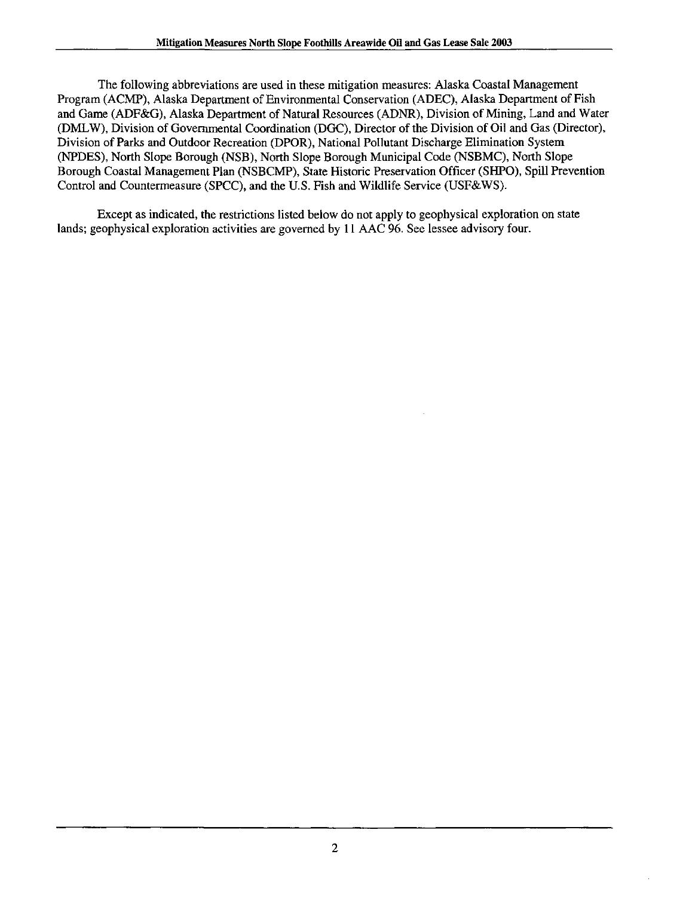The following abbreviations are used in these mitigation measures: Alaska Coastal Management Program (ACMP), Alaska Department of Environmental Conservation (ADEC), Alaska Department of Fish and Game (ADF&G), Alaska Department of Natural Resources (ADNR), Division of Mining, Land and Water (DMLW), Division of Governmental Coordination (DGC), Director of the Division of Oil and Gas (Director), Division of Parks and Outdoor Recreation (DPOR), National Pollutant Discharge Elimination System (NPDES), North Slope Borough (NSB), North Slope Borough Municipal Code (NSBMC), North Slope Borough Coastal Management Plan (NSBCMP), State Historic Preservation Officer (SHPO), Spill Prevention Control and Countermeasure (SPCC), and the U.S. Fish and Wildlife Service (USF&WS).

Except as indicated, the restrictions listed below do not apply to geophysical exploration on state lands; geophysical exploration activities are governed by 11 AAC 96. See lessee advisory four.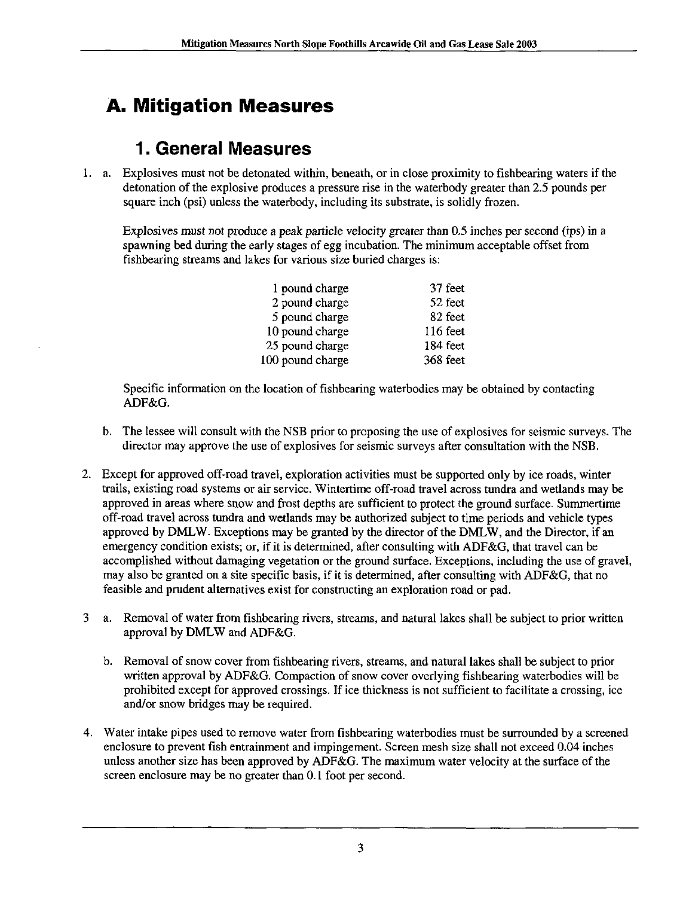# **A. Mitigation Measures**

#### 1. General Measures

1. a. Explosives must not be detonated within, beneath, or in close proximity to fishbearing waters if the detonation of the explosive produces a pressure rise in the waterbody greater than 2.5 pounds per square inch (psi) unless the waterbody, including its substrate, is solidly frozen.

Explosives must not produce a peak particle velocity greater than 0.5 inches per second (ips) in a spawning bed during the early stages of egg incubation. The minimum acceptable offset from fishbearing streams and lakes for various size buried charges is:

| 37 feet<br>1 pound charge    |  |
|------------------------------|--|
| 52 feet<br>2 pound charge    |  |
| 82 feet<br>5 pound charge    |  |
| 10 pound charge<br>116 feet  |  |
| 184 feet<br>25 pound charge  |  |
| 100 pound charge<br>368 feet |  |

Specific information on the location of fishbearing waterbodies may be obtained by contacting ADF&G.

- b. The lessee will consult with the NSB prior to proposing the use of explosives for seismic surveys. The director may approve the use of explosives for seismic surveys after consultation with the NSB.
- 2. Except for approved off-road travel, exploration activities must be supported only by ice roads, winter trails, existing road systems or air service. Wintertime off-road travel across tundra and wetiands may be approved in areas where snow and frost depths are sufficient to protect the ground surface. Summertime off-road travel across tundra and wetlands may be authorized subject to time periods and vehicle types approved by DMLW. Exceptions may be granted by the director of the DMLW, and the Director, if an emergency condition exists; or, if it is determined, after consulting with ADF&G, that travel can be accomplished without damaging vegetation or the ground surface. Exceptions, including the use of gravel, may also be granted on a site specific basis, if it is determined, after consulting with ADF&G, that no feasible and prudent alternatives exist for constmcting an exploration road or pad.
- 3 a. Removal of water from fishbearing rivers, streams, and natural lakes shall be subject to prior written approval by DMLW and ADF&G.
	- b. Removal of snow cover from fishbearing rivers, streams, and natural lakes shall be subject to prior written approval by ADF&G. Compaction of snow cover overlying fishbearing waterbodies will be prohibited except for approved crossings. If ice thickness is not sufficient to facilitate a crossing, ice and/or snow bridges may be required.
- 4. Water intake pipes used to remove water from fishbearing waterbodies must be surrounded by a screened enclosure to prevent fish entrainment and impingement. Screen mesh size shall not exceed 0.04 inches unless another size has been approved by ADF&G. The maximum water velocity at the surface of the screen enclosure may be no greater than 0.1 foot per second.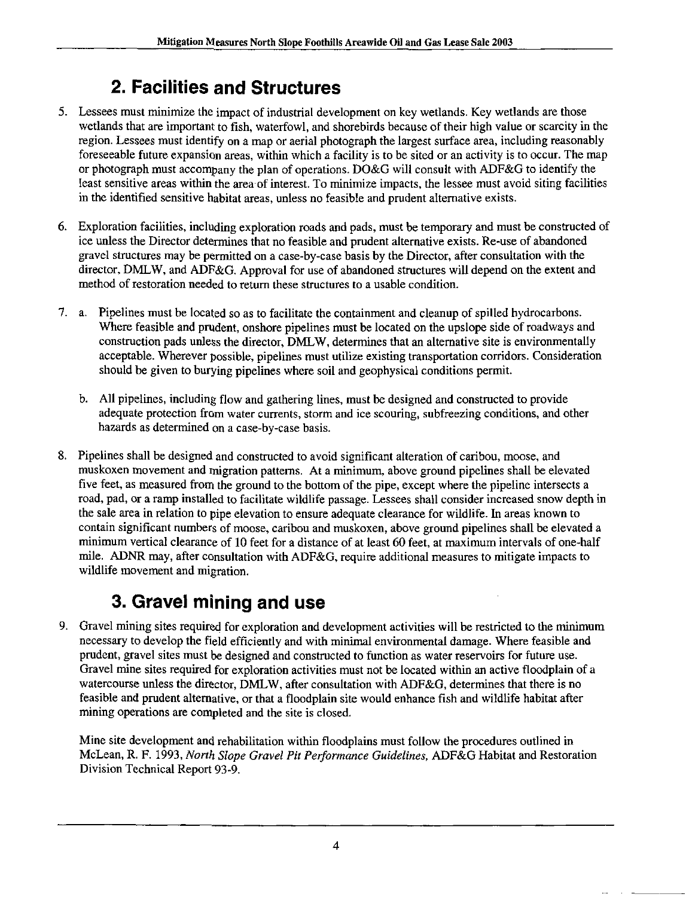# 2. Facilities and Structures

- 5. Lessees must minimize the impact of industrial development on key wetlands. Key wetlands are those wetlands that are important to fish, waterfowl, and shorebirds because of their high value or scarcity in the region. Lessees must identify on a map or aerial photograph the largest surface area, including reasonably foreseeable future expansion areas, within which a facility is to be sited or an activity is to occur. The map or photograph must accompany the plan of operations. DO&G will consult with ADF&G to identify the least sensitive areas within the area of interest. To minimize impacts, the lessee must avoid siting facilities in the identified sensitive habitat areas, unless no feasible and prudent alternative exists.
- 6. Exploration facilities, including exploration roads and pads, must be temporary and must be constructed of ice unless the Director determines that no feasible and prudent alternative exists. Re-use of abandoned gravel structures may be permitted on a case-by-case basis by the Director, after consultation with the director, DMLW, and ADF&G. Approval for use of abandoned structures will depend on the extent and method of restoration needed to return these structures lo a usable condition.
- 7. a. Pipelines must be located so as to facilitate the containment and cleanup of spilled hydrocarbons. Where feasible and prudent, onshore pipelines must be located on the upslope side of roadways and construction pads unless the director, DMLW, determines that an alternative site is environmentally acceptable. Wherever possible, pipelines must utilize existing transportation corridors. Consideration should be given to burying pipelines where soil and geophysical conditions permit.
	- b. All pipelines, including flow and gathering lines, must be designed and constructed to provide adequate protection from water currents, storm and ice scouring, subfreezing conditions, and other hazards as determined on a case-by-case basis.
- 8. Pipelines shall be designed and constructed to avoid significant alteration of caribou, moose, and muskoxen movement and migration patterns. At a minimum, above ground pipelines shall be elevated five feet, as measured from the ground to the bottom of the pipe, except where the pipeline intersects a road, pad, or a ramp installed to facilitate wildlife passage. Lessees shall consider increased snow depth in the sale area in relation to pipe elevation to ensure adequate clearance for wildlife. In areas known to contain significant numbers of moose, caribou and muskoxen, above ground pipelines shall be elevated a minimum vertical clearance of 10 feet for a distance of at least 60 feet, at maximum intervals of one-half mile. ADNR may, after consultation with ADF&G, require additional measures to mitigate impacts to wildlife movement and migration.

# 3. Gravel mining and use

9. Gravel mining sites required for exploration and development activities will be restricted to the minimum necessary to develop the field efficiently and with minimal environmental damage. Where feasible and pradent, gravel sites must be designed and constructed to function as water reservoirs for future use. Gravel mine sites required for exploration activities must not be located within an active floodplain of a watercourse unless the director, DMLW, after consultation with ADF&G, determines that there is no feasible and prudent altemative, or that a floodplain site would enhance fish and wildlife habitat after mining operations are completed and the site is closed.

Mine site development and rehabilitation within floodplains must follow the procedures outlined in McLean, R. F. 1993, North Slope Gravel Pit Performance Guidelines, ADF&G Habitat and Restoration Division Technical Report 93-9.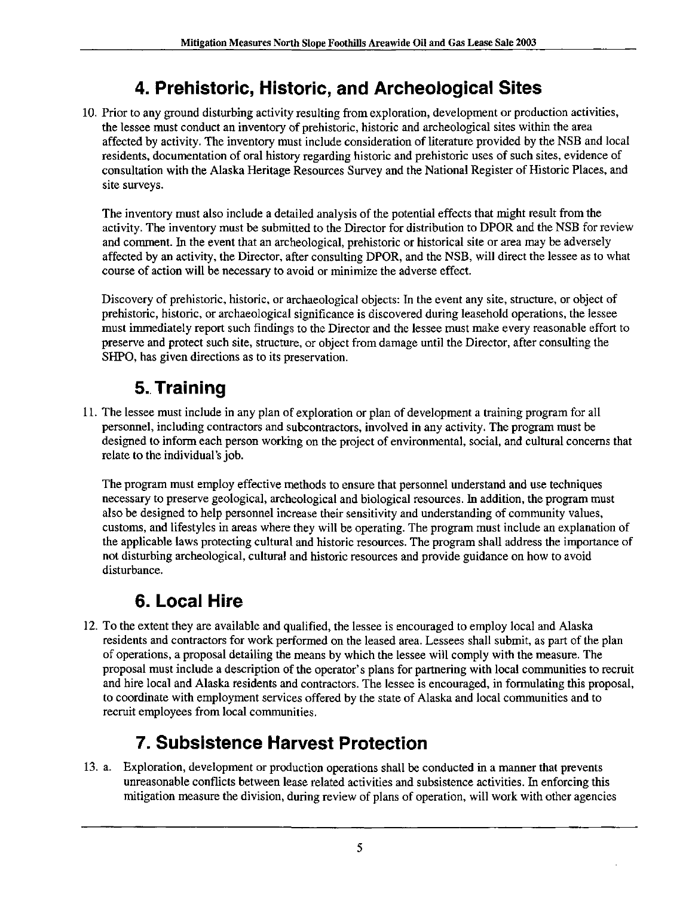### 4. Prehistoric, Historic, and Archeological Sites

10. Prior to any ground disturbing activity resulting from exploration, development or production activities, the lessee must conduct an inventory of prehistoric, historic and archeological sites within the area affected by activity. The inventory must include consideration of literature provided by the NSB and local residents, documentation of oral history regarding historic and prehistoric uses of such sites, evidence of consultation with the Alaska Heritage Resources Survey and the National Register of Historic Places, and site surveys.

The inventory must also include a detailed analysis of the potential effects that might result from the activity. The inventory must be submitted to the Director for distribution to DPOR and the NSB for review and comment. In the event that an archeological, prehistoric or historical site or area may be adversely affected by an activity, the Director, after consulting DPOR, and the NSB, will direct the lessee as to what course of action will be necessary to avoid or minimize the adverse effect.

Discovery of prehistoric, historic, or archaeological objects: In the event any site, structure, or object of prehistoric, historic, or archaeological significance is discovered during leasehold operations, the lessee must immediately report such findings to the Director and the lessee must make every reasonable effort to preserve and protect such site, stmcture, or object from damage until the Director, after consulting the SHPO, has given directions as to its preservation.

# 5. Training

11. The lessee must include in any plan of exploration or plan of development a training program for all personnel, including contractors and subcontractors, involved in any activity. The program must be designed to inform each person working on the project of environmental, social, and cultural concerns that relate to the individual's job.

The program must employ effective methods to ensure that personnel imderstand and use techniques necessary to preserve geological, archeological and biological resources. In addition, the program must also be designed to help personnel increase their sensitivity and understanding of community values, customs, and lifestyles in areas where they will be operating. The program must include an explanation of the applicable laws protecting cultural and historic resources. The program shall address the importance of not disturbing archeological, cultural and historic resources and provide guidance on how to avoid disturbance.

#### 6. Local Hire

12. To the extent they are available and qualified, the lessee is encouraged to employ local and Alaska residents and contractors for work performed on the leased area. Lessees shall submit, as part of the plan of operations, a proposal detailing the means by which the lessee will comply with the measure. The proposal must include a description of the operator's plans for partnering with local communities to recruit and hire local and Alaska residents and contractors. The lessee is encouraged, in formulating this proposal, to coordinate with employment services offered by the state of Alaska and local communities and to recruit employees from local communities.

# 7. Subsistence Harvest Protection

13. a. Exploration, development or production operations shall be conducted in a manner that prevents unreasonable conflicts between lease related activities and subsistence activities. In enforcing this mitigation measure the division, during review of plans of operation, will work with other agencies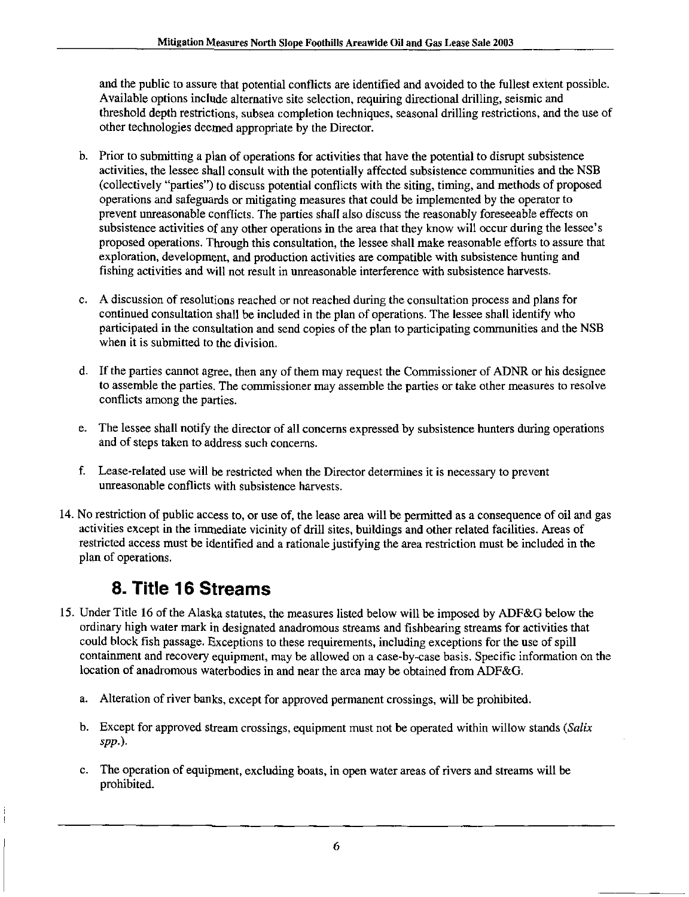and the public to assure that potential conflicts are identified and avoided to the fiillest extent possible. Available options include alternative site selection, requiring directional drilling, seismic and threshold depth restrictions, subsea completion techniques, seasonal drilling restrictions, and the use of other technologies deemed appropriate by the Director.

- b. Prior to submitting a plan of operations for activities that have the potential to disrupt subsistence activities, the lessee shall consult with the potentially affected subsistence communities and the NSB (collectively "parties") to discuss potential conflicts with the siting, timing, and methods of proposed operations and safeguards or mitigating measures that could be implemented by the operator to prevent unreasonable conflicts. The parties shall also discuss the reasonably foreseeable effects on subsistence activities of any other operations in the area that they know will occur during the lessee's proposed operations. Through this consultation, the lessee shall make reasonable efforts to assure that exploration, development, and production activities are compatible with subsistence hunting and fishing activities and will not result in unreasonable interference with subsistence harvests.
- c. A discussion of resolutions reached or not reached during the consultation process and plans for continued consultation shall be included in the plan of operations. The lessee shall identify who participated in the consultation and send copies of the plan to participating communities and the NSB when it is submitted to the division.
- d. If the parties cannot agree, then any of them may request the Commissioner of ADNR or his designee to assemble the parties. The commissioner may assemble the parties or take other measures to resolve conflicts among the parties.
- e. The lessee shall notify the director of all concerns expressed by subsistence hunters during operations and of steps taken to address such concerns.
- f Lease-related use will be restricted when the Director determines it is necessary to prevent unreasonable conflicts with subsistence harvests.
- 14. No restriction of public access to, or use of, the lease area will be permitted as a consequence of oil and gas activities except in the immediate vicinity of drill sites, buildings and other related facilities. Areas of restricted access must be identified and a rationale justifying the area restriction must be included in the plan of operations.

#### 8. Title 16 Streams

- 15. Under Title 16 of the Alaska statutes, the measures listed below will be imposed by ADF&G below the ordinary high water mark in designated anadromous streams and fishbearing streams for activities that could block fish passage. Exceptions to these requirements, including exceptions for the use of spill containment and recovery equipment, may be allowed on a case-by~case basis. Specific information on the location of anadromous waterbodies in and near the area may be obtained from ADF&G.
	- a. Alteration of river banks, except for approved permanent crossings, will be prohibited.
	- b. Except for approved stream crossings, equipment must not be operated within willow stands (Salix spp.).
	- c. The operation of equipment, excluding boats, in open water areas of rivers and streams will be prohibited.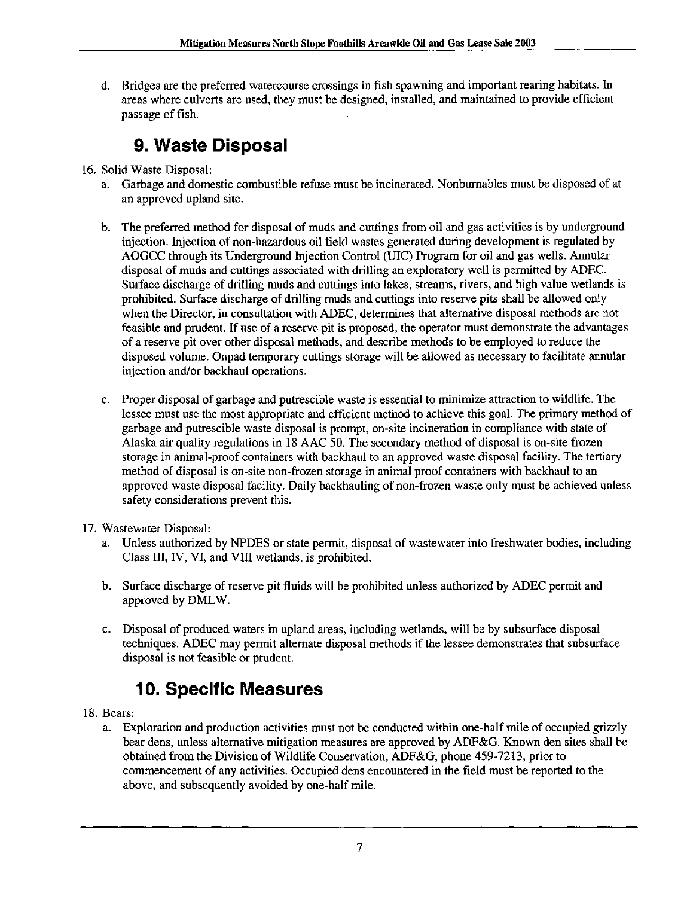d. Bridges are the preferred watercourse crossings in fish spawning and important rearing habitats. In areas where culverts are used, they must be designed, installed, and maintained to provide efficient passage of fish.

#### 9. Waste Disposal

- 16. Solid Waste Disposal:
	- a. Garbage and domestic combustible refuse must be incinerated. Nonbumables must be disposed of at an approved upland site.
	- b. The preferred method for disposal of muds and cuttings from oil and gas activities is by underground injection. Injection of non-hazardous oil field wastes generated during development is regulated by AOGCC through its Underground Injection Control (UIC) Program for oil and gas wells. Annular disposal of muds and cuttings associated with drilling an exploratory well is permitted by ADEC. Surface discharge of drilling muds and cuttings into lakes, streams, rivers, and high value wetlands is prohibited. Surface discharge of drilling muds and cuttings into reserve pits shall be allowed only when the Director, in consultation with ADEC, determines that altemative disposal methods are not feasible and pmdent. If use of a reserve pit is proposed, the operator must demonstrate the advantages of a reserve pit over other disposal methods, and describe methods to be employed to reduce the disposed volume. Onpad temporary cuttings storage will be allowed as necessary to facilitate annular injection and/or backhaul operations.
	- c. Proper disposal of garbage and putrescible waste is essential to minimize attraction to wildlife. The lessee must use the most appropriate and efficient method to achieve this goal. The primary method of garbage and putrescible waste disposal is prompt, on-site incineration in compliance with state of Alaska air quality regulations in 18 AAC 50. The secondary method of disposal is on-site frozen storage in animal-proof containers with backhaul to an approved waste disposal facility. The tertiary method of disposal is on-site non-frozen storage in animal proof containers with backhaul to an approved waste disposal facility. Daily backhauling of non-frozen waste only must be achieved unless safety considerations prevent this.
- 17. Wastewater Disposal:
	- a. Unless authorized by NPDES or state permit, disposal of wastewater into freshwater bodies, including Class III, IV, VI, and VIII wetlands, is prohibited.
	- b. Surface discharge of reserve pit fluids will be prohibited unless authorized by ADEC permit and approved by DMLW.
	- c. Disposal of produced waters in upland areas, including wetlands, will be by subsurface disposal techniques. ADEC may permit altemate disposal methods if the lessee demonstrates that subsurface disposal is not feasible or prudent.

### 10. Specific Measures

- 18. Bears:
	- a. Exploration and production activities must not be conducted within one-half mile of occupied grizzly bear dens, unless altemative mitigation measures are approved by ADF&G. Known den sites shall be obtained from the Division of Wildlife Conservation, ADF&G, phone 459-7213, prior to commencement of any activities. Occupied dens encoimtered in the field must be reported to the above, and subsequently avoided by one-half mile.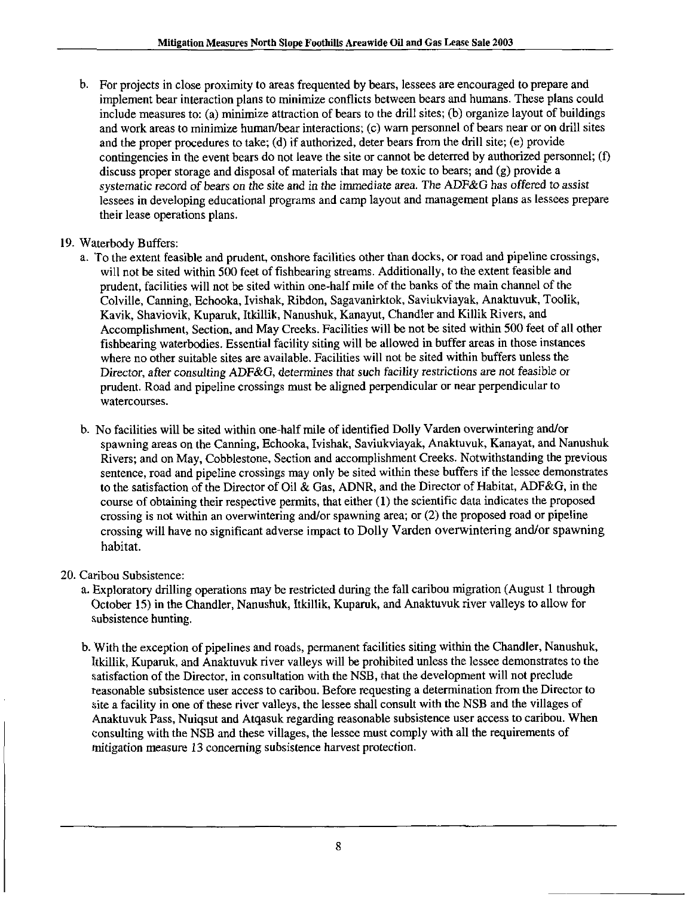b. For projects in close proximity to areas frequented by bears, lessees are encouraged to prepare and implement bear interaction plans to minimize conflicts between bears and humans. These plans could include measures to: (a) minimize attraction of bears to the drill sites; (b) organize layout of buildings and work areas to minimize human/bear interactions; (c) warn personnel of bears near or on drill sites and the proper procedures to take; (d) if authorized, deter bears from the drill site; (e) provide contingencies in the event bears do not leave the site or cannot be deterred by authorized personnel; (f) discuss proper storage and disposal of materials that may be toxic to bears; and (g) provide a systematic record of bears on the site and in the immediate area. The ADF&G has offered to assist lessees in developing educational programs and camp layout and management plans as lessees prepare their lease operations plans.

#### 19. Waterbody Buffers:

- a. To the extent feasible and prudent, onshore facilities other than docks, or road and pipeline crossings, will not be sited within 500 feet of fishbearing streams. Additionally, to the extent feasible and prudent, facilities will not be sited within one-half mile of the banks of the main channel of the Colville, Canning, Echooka, Ivishak, Ribdon, Sagavanirktok, Saviukviayak, Anaktuvuk, Toolik, Kavik, Shaviovik, Kupamk, Itkillik, Nanushuk, Kanayut, Chandler and Killik Rivers, and Accomplishment, Section, and May Creeks. Facilities will be not be sited within 500 feet of all other fishbearing waterbodies. Essential facility siting will be allowed in buffer areas in those instances where no other suitable sites are available. Facilities will not be sited within buffers unless the Director, after consulting ADF&G, determines that such facility restrictions are not feasible or prudent. Road and pipeline crossings must be aligned perpendicular or near perpendicular to watercourses.
- b. No facilities will be sited within one-half mile of identified Dolly Varden overwintering and/or spawning areas on the Canning, Echooka, Ivishak, Saviukviayak, Anaktuvuk, Kanayat, and Nanushuk Rivers; and on May, Cobblestone, Section and accomplishment Creeks. Notwithstanding the previous sentence, road and pipeline crossings may only be sited within these buffers if the lessee demonstrates to the satisfaction of the Director of Oil & Gas, ADNR, and the Director of Habitat, ADF&G, in the course of obtaining their respective permits, that either (1) the scientific data indicates the proposed crossing is not within an overwintering and/or spawning area; or (2) the proposed road or pipeline crossing will have no significant adverse impact to Dolly Varden overwintering and/or spawning habitat.
- 20. Caribou Subsistence:
	- a. Exploratory drilling operations may be restricted during the fall caribou migration (August 1 through October 15) in the Chandler, Nanushuk, Itkillik, Kuparuk, and Anaktuvuk river valleys to allow for subsistence hunting.
	- b. With the exception of pipelines and roads, permanent facilities siting within the Chandler, Nanushuk, Itkillik, Kupamk, and Anaktuvuk river valleys will be prohibited unless the lessee demonstrates to the satisfaction of the Director, in consultation with the NSB, that the development will not preclude reasonable subsistence user access to caribou. Before requesting a determination from the Director to site a facility in one of these river valleys, the lessee shall consult with the NSB and the villages of Anaktuvuk Pass, Nuiqsut and Atqasuk regarding reasonable subsistence user access to caribou. When consulting with the NSB and these villages, the lessee must comply with all the requirements of mitigation measure 13 conceming subsistence harvest protection.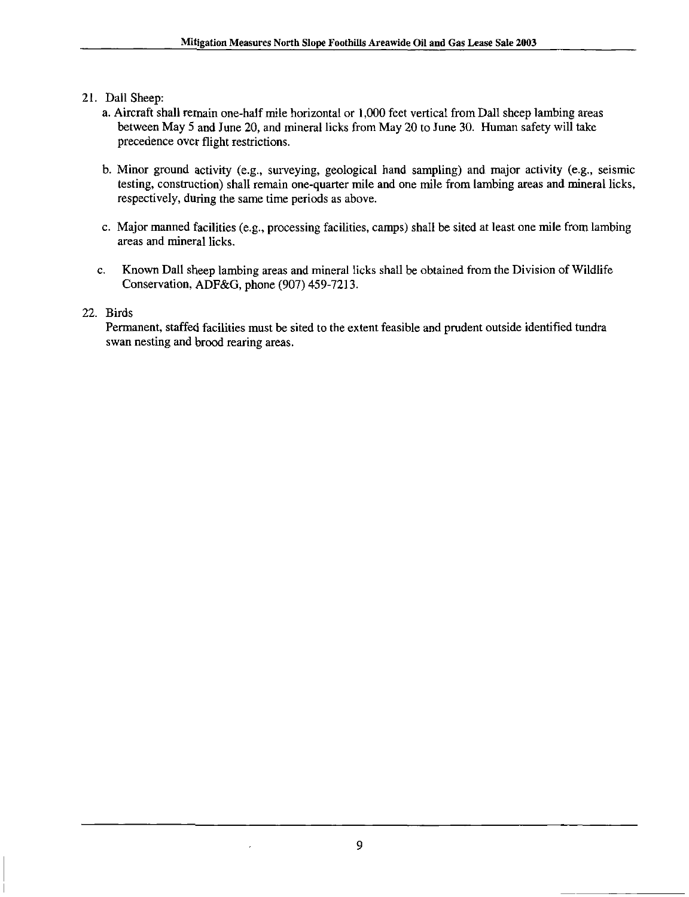- 21. Dall Sheep:
	- a. Aircraft shall remain one-half mile horizontal or 1,000 feet vertical from Dall sheep lambing areas between May 5 and June 20, and mineral licks from May 20 to June 30. Human safety will take precedence over flight restrictions.
	- b. Minor ground activity (e.g., surveying, geological hand sampling) and major activity (e.g., seismic testing, construction) shall remain one-quarter mile and one mile from lambing areas and mineral licks, respectively, during the same time periods as above.
	- c. Major manned facilities (e.g., processing facihties, camps) shall be sited at least one mile from lambing areas and mineral licks.
	- c. Known Dall sheep lambing areas and mineral licks shall be obtained from the Division of Wildlife Conservation, ADF&G, phone (907) 459-7213.

#### 22. Birds

Permanent, staffed facilities must be sited to the extent feasible and prudent outside identified tundra swan nesting and brood rearing areas.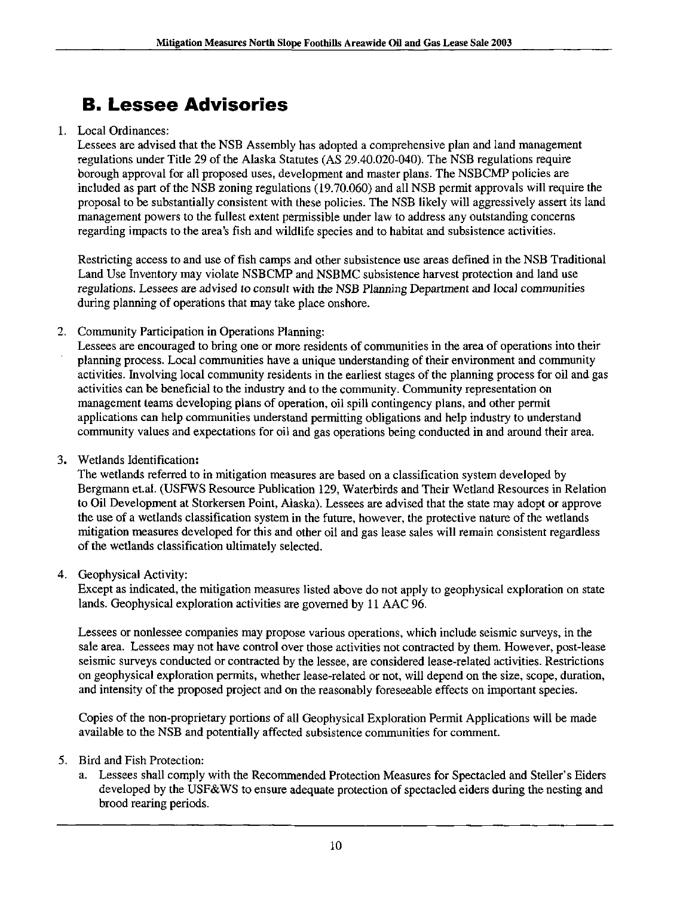# B. Lessee Advisories

#### 1. Local Ordinances:

Lessees are advised that the NSB Assembly has adopted a comprehensive plan and land management regulations under Title 29 of the Alaska Statutes (AS 29.40.020-040). The NSB regulations requhe borough approval for all proposed uses, development and master plans. The NSBCMP policies are included as part of the NSB zoning regulations (19.70.060) and all NSB permit approvals will require the proposal to be substantially consistent with these policies. The NSB likely will aggressively assert its land management powers to the fullest extent permissible under law to address any outstanding concerns regarding impacts to the area's fish and wildlife species and to habitat and subsistence activities.

Restricting access to and use of fish camps and other subsistence use areas defined in the NSB Traditional Land Use Inventory may violate NSBCMP and NSBMC subsistence harvest protection and land use regulations. Lessees are advised to consult with the NSB Planning Department and local communities during planning of operations that may take place onshore.

2. Community Participation in Operations Planning:

Lessees are encouraged to bring one or more residents of communities in the area of operations into their planning process. Local communities have a unique understanding of their environment and community activities. Involving local community residents in the earliest stages of the planning process for oil and gas activities can be beneficial to the industry and to the community. Community representation on management teams developing plans of operation, oil spill contingency plans, and other permit applications can help communities understand permitting obligations and help industry to understand community values and expectations for oil and gas operations being conducted in and around their area.

3. Wetlands Identification:

The wetlands referred to in mitigation measures are based on a classification system developed by Bergmann et.al. (USFWS Resource Publication 129, Waterbirds and Their Wetland Resources in Relation to Oil Development at Storkersen Point, Alaska). Lessees are advised that the state may adopt or approve the use of a wetlands classification system in the future, however, the protective nature of the wetlands mitigation measures developed for this and other oil and gas lease sales will remain consistent regardless of the wetlands classification ultimately selected.

4. Geophysical Activity:

Except as indicated, the mitigation measures listed above do not apply to geophysical exploration on state lands. Geophysical exploration activities are governed by 11 AAC 96.

Lessees or nonlessee companies may propose various operations, which include seismic surveys, in the sale area. Lessees may not have control over those activifies not contracted by them. However, post-lease seismic surveys conducted or contracted by the lessee, are considered lease-related activities. Restrictions on geophysical exploration permits, whether lease-related or not, will depend on the size, scope, duration, and intensity of the proposed project and on the reasonably foreseeable effects on important species.

Copies of the non-proprietary portions of all Geophysical Exploration Permit Applications will be made available to the NSB and potenfially affected subsistence communities for comment.

- 5. Bird and Fish Protection:
	- a. Lessees shall comply with the Recommended Protection Measures for Spectacled and Steller's Eiders developed by the USF&WS to ensure adequate protection of spectacled eiders during the nesting and brood rearing periods.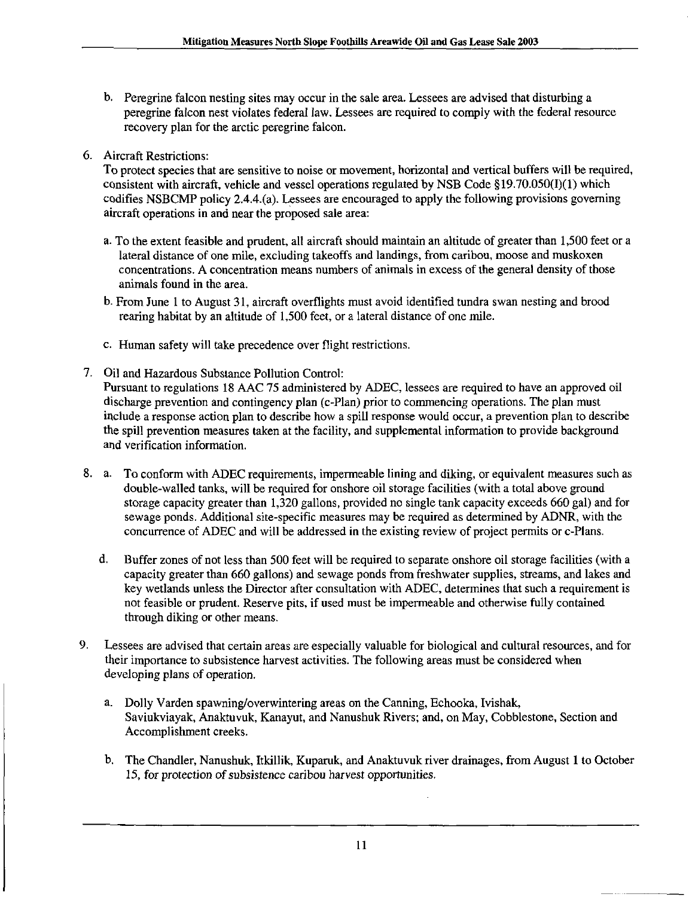- b. Peregrine falcon nesting sites may occur in the sale area. Lessees are advised that disturbing a peregrine falcon nest violates federal law. Lessees are required to comply with the federal resource recovery plan for the arctic peregrine falcon.
- 6. Aircraft Restrictions:

To protect species that are sensitive to noise or movement, horizontal and vertical buffers will be required, consistent with aircraft, vehicle and vessel operations regulated by NSB Code §19.70.050(I)(1) which codifies NSBCMP policy 2.4.4.(a). Lessees are encouraged to apply the following provisions governing aircraft operations in and near the proposed sale area:

- a. To the extent feasible and prudent, all aircraft should maintain an altitude of greater than 1,500 feet or a lateral distance of one mile, excluding takeoffs and landings, from caribou, moose and muskoxen concentrations. A concentration means numbers of animals in excess of the general density of those animals found in the area.
- b. From June I to August 31, aircraft overflights must avoid identified tundra swan nesting and brood rearing habitat by an altitude of 1,500 feet, or a lateral distance of one mile.
- c. Human safety will take precedence over flight restrictions.
- 7. Oil and Hazardous Substance Pollution Control:

Pursuant to regulations 18 AAC 75 administered by ADEC, lessees are required to have an approved oil discharge prevention and contingency plan (c-Plan) prior to commencing operations. The plan must include a response action plan to describe how a spill response would occur, a prevention plan to describe the spill prevention measures taken at the facility, and supplemental information to provide background and verification information.

- 8. a. To conform with ADEC requirements, impermeable lining and diking, or equivalent measures such as double-walled tanks, will be required for onshore oil storage facilities (with a total above ground storage capacity greater than 1,320 gallons, provided no single tank capacity exceeds 660 gal) and for sewage ponds. Additional site-specific measures may be required as determined by ADNR, with the concurrence of ADEC and will be addressed in the existing review of project permits or c-Plans.
	- d. Buffer zones of not less than 500 feet will be required to separate onshore oil storage facilities (with a capacity greater than 660 gallons) and sewage ponds from freshwater supplies, streams, and lakes and key wetiands unless the Director after consultation with ADEC, determines that such a requirement is not feasible or prudent. Reserve pits, if used must be impermeable and otherwise fully contained through diking or other means.
- 9. Lessees are advised that certain areas are especially valuable for biological and cultural resources, and for their importance to subsistence harvest activities. The following areas must be considered when developing plans of operation.
	- a. Dolly Varden spawning/overwintering areas on the Canning, Echooka, Ivishak, Saviukviayak, Anaktuvuk, Kanayut, and Nanushuk Rivers; and, on May, Cobblestone, Section and Accomplishment creeks.
	- b. The Chandler, Nanushuk, Itkillik, Kuparuk, and Anaktuvuk river drainages, from August 1 to October 15, for protection of subsistence caribou harvest opportunities.